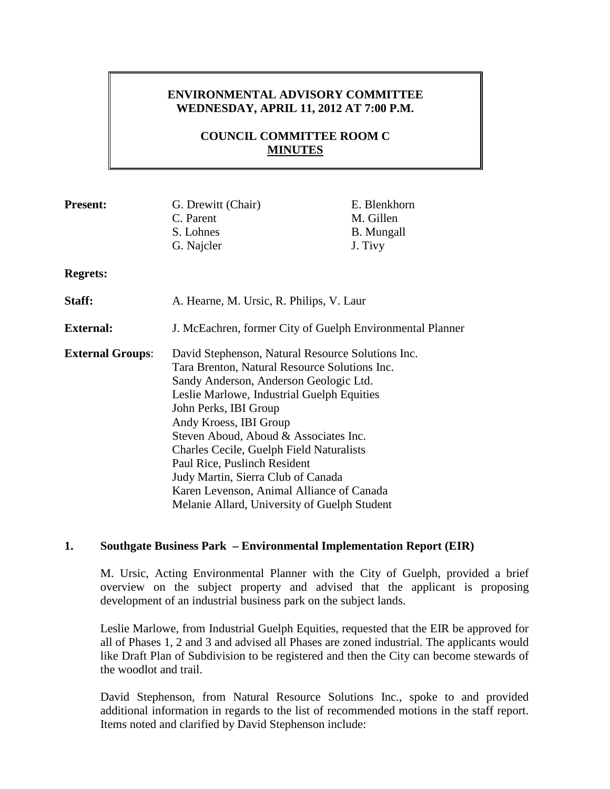# **ENVIRONMENTAL ADVISORY COMMITTEE WEDNESDAY, APRIL 11, 2012 AT 7:00 P.M.**

# **COUNCIL COMMITTEE ROOM C MINUTES**

| <b>Present:</b>         | G. Drewitt (Chair)                                        | E. Blenkhorn      |
|-------------------------|-----------------------------------------------------------|-------------------|
|                         | C. Parent                                                 | M. Gillen         |
|                         | S. Lohnes                                                 | <b>B.</b> Mungall |
|                         | G. Najcler                                                | J. Tivy           |
| <b>Regrets:</b>         |                                                           |                   |
| Staff:                  | A. Hearne, M. Ursic, R. Philips, V. Laur                  |                   |
| <b>External:</b>        | J. McEachren, former City of Guelph Environmental Planner |                   |
| <b>External Groups:</b> | David Stephenson, Natural Resource Solutions Inc.         |                   |
|                         | Tara Brenton, Natural Resource Solutions Inc.             |                   |
|                         | Sandy Anderson, Anderson Geologic Ltd.                    |                   |
|                         | Leslie Marlowe, Industrial Guelph Equities                |                   |
|                         | John Perks, IBI Group                                     |                   |
|                         | Andy Kroess, IBI Group                                    |                   |
|                         | Steven Aboud, Aboud & Associates Inc.                     |                   |
|                         | Charles Cecile, Guelph Field Naturalists                  |                   |
|                         | Paul Rice, Puslinch Resident                              |                   |
|                         | Judy Martin, Sierra Club of Canada                        |                   |
|                         | Karen Levenson, Animal Alliance of Canada                 |                   |
|                         | Melanie Allard, University of Guelph Student              |                   |

#### **1. Southgate Business Park – Environmental Implementation Report (EIR)**

M. Ursic, Acting Environmental Planner with the City of Guelph, provided a brief overview on the subject property and advised that the applicant is proposing development of an industrial business park on the subject lands.

Leslie Marlowe, from Industrial Guelph Equities, requested that the EIR be approved for all of Phases 1, 2 and 3 and advised all Phases are zoned industrial. The applicants would like Draft Plan of Subdivision to be registered and then the City can become stewards of the woodlot and trail.

David Stephenson, from Natural Resource Solutions Inc., spoke to and provided additional information in regards to the list of recommended motions in the staff report. Items noted and clarified by David Stephenson include: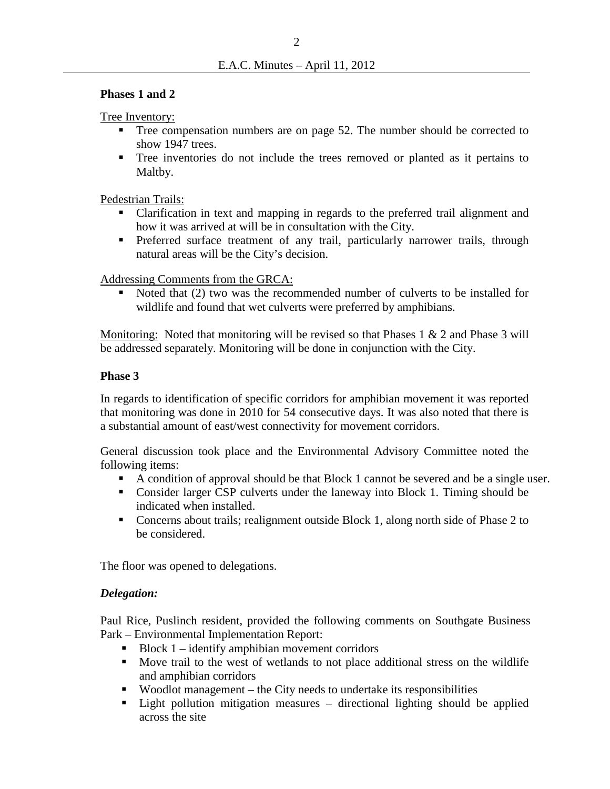#### **Phases 1 and 2**

Tree Inventory:

- Tree compensation numbers are on page 52. The number should be corrected to show 1947 trees.
- Tree inventories do not include the trees removed or planted as it pertains to Maltby.

Pedestrian Trails:

- Clarification in text and mapping in regards to the preferred trail alignment and how it was arrived at will be in consultation with the City.
- **Preferred surface treatment of any trail, particularly narrower trails, through** natural areas will be the City's decision.

Addressing Comments from the GRCA:

 Noted that (2) two was the recommended number of culverts to be installed for wildlife and found that wet culverts were preferred by amphibians.

Monitoring: Noted that monitoring will be revised so that Phases 1 & 2 and Phase 3 will be addressed separately. Monitoring will be done in conjunction with the City.

#### **Phase 3**

In regards to identification of specific corridors for amphibian movement it was reported that monitoring was done in 2010 for 54 consecutive days. It was also noted that there is a substantial amount of east/west connectivity for movement corridors.

General discussion took place and the Environmental Advisory Committee noted the following items:

- A condition of approval should be that Block 1 cannot be severed and be a single user.
- Consider larger CSP culverts under the laneway into Block 1. Timing should be indicated when installed.
- Concerns about trails; realignment outside Block 1, along north side of Phase 2 to be considered.

The floor was opened to delegations.

#### *Delegation:*

Paul Rice, Puslinch resident, provided the following comments on Southgate Business Park – Environmental Implementation Report:

- $\blacksquare$  Block 1 identify amphibian movement corridors
- Move trail to the west of wetlands to not place additional stress on the wildlife and amphibian corridors
- Woodlot management the City needs to undertake its responsibilities
- Light pollution mitigation measures directional lighting should be applied across the site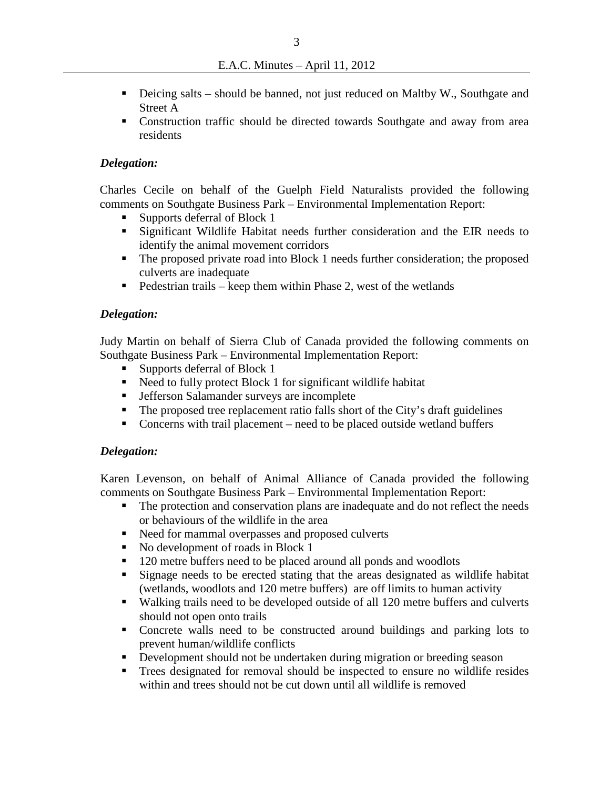- Deicing salts should be banned, not just reduced on Maltby W., Southgate and Street A
- Construction traffic should be directed towards Southgate and away from area residents

#### *Delegation:*

Charles Cecile on behalf of the Guelph Field Naturalists provided the following comments on Southgate Business Park – Environmental Implementation Report:

- Supports deferral of Block 1
- Significant Wildlife Habitat needs further consideration and the EIR needs to identify the animal movement corridors
- The proposed private road into Block 1 needs further consideration; the proposed culverts are inadequate
- $\blacksquare$  Pedestrian trails keep them within Phase 2, west of the wetlands

#### *Delegation:*

Judy Martin on behalf of Sierra Club of Canada provided the following comments on Southgate Business Park – Environmental Implementation Report:

- Supports deferral of Block 1
- Need to fully protect Block 1 for significant wildlife habitat
- **Jefferson Salamander surveys are incomplete**
- The proposed tree replacement ratio falls short of the City's draft guidelines
- Concerns with trail placement need to be placed outside wetland buffers

#### *Delegation:*

Karen Levenson, on behalf of Animal Alliance of Canada provided the following comments on Southgate Business Park – Environmental Implementation Report:

- The protection and conservation plans are inadequate and do not reflect the needs or behaviours of the wildlife in the area
- Need for mammal overpasses and proposed culverts
- No development of roads in Block 1
- <sup>1</sup> 120 metre buffers need to be placed around all ponds and woodlots
- Signage needs to be erected stating that the areas designated as wildlife habitat (wetlands, woodlots and 120 metre buffers) are off limits to human activity
- Walking trails need to be developed outside of all 120 metre buffers and culverts should not open onto trails
- Concrete walls need to be constructed around buildings and parking lots to prevent human/wildlife conflicts
- Development should not be undertaken during migration or breeding season
- Trees designated for removal should be inspected to ensure no wildlife resides within and trees should not be cut down until all wildlife is removed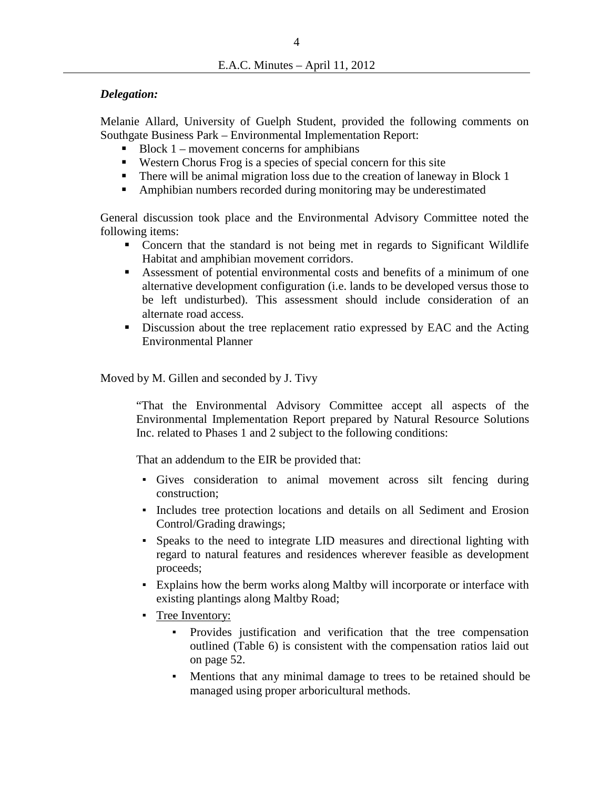### *Delegation:*

Melanie Allard, University of Guelph Student, provided the following comments on Southgate Business Park – Environmental Implementation Report:

- $\blacksquare$  Block 1 movement concerns for amphibians
- Western Chorus Frog is a species of special concern for this site
- There will be animal migration loss due to the creation of laneway in Block 1
- Amphibian numbers recorded during monitoring may be underestimated

General discussion took place and the Environmental Advisory Committee noted the following items:

- Concern that the standard is not being met in regards to Significant Wildlife Habitat and amphibian movement corridors.
- Assessment of potential environmental costs and benefits of a minimum of one alternative development configuration (i.e. lands to be developed versus those to be left undisturbed). This assessment should include consideration of an alternate road access.
- Discussion about the tree replacement ratio expressed by EAC and the Acting Environmental Planner

#### Moved by M. Gillen and seconded by J. Tivy

"That the Environmental Advisory Committee accept all aspects of the Environmental Implementation Report prepared by Natural Resource Solutions Inc. related to Phases 1 and 2 subject to the following conditions:

That an addendum to the EIR be provided that:

- Gives consideration to animal movement across silt fencing during construction;
- Includes tree protection locations and details on all Sediment and Erosion Control/Grading drawings;
- Speaks to the need to integrate LID measures and directional lighting with regard to natural features and residences wherever feasible as development proceeds;
- Explains how the berm works along Maltby will incorporate or interface with existing plantings along Maltby Road;
- **•** Tree Inventory:
	- Provides justification and verification that the tree compensation outlined (Table 6) is consistent with the compensation ratios laid out on page 52.
	- Mentions that any minimal damage to trees to be retained should be managed using proper arboricultural methods.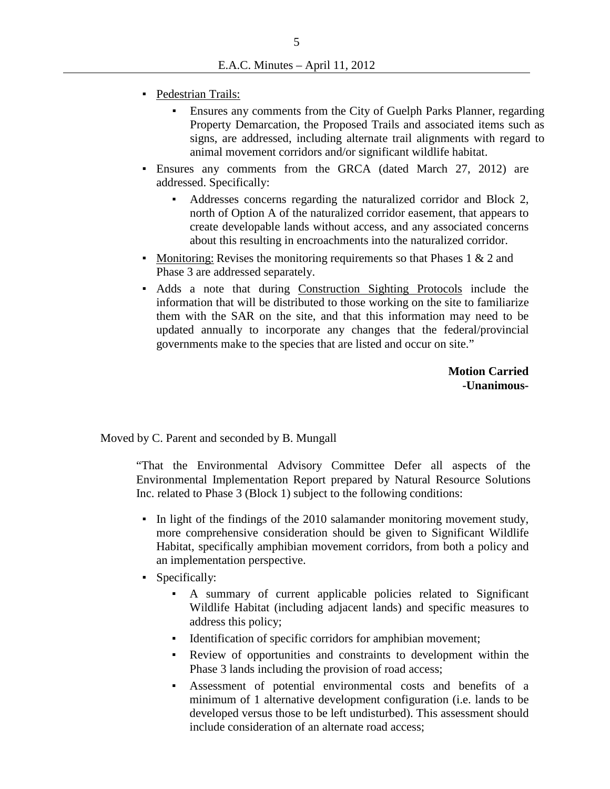- Pedestrian Trails:
	- Ensures any comments from the City of Guelph Parks Planner, regarding Property Demarcation, the Proposed Trails and associated items such as signs, are addressed, including alternate trail alignments with regard to animal movement corridors and/or significant wildlife habitat.
- Ensures any comments from the GRCA (dated March 27, 2012) are addressed. Specifically:
	- Addresses concerns regarding the naturalized corridor and Block 2, north of Option A of the naturalized corridor easement, that appears to create developable lands without access, and any associated concerns about this resulting in encroachments into the naturalized corridor.
- Monitoring: Revises the monitoring requirements so that Phases  $1 \& 2$  and Phase 3 are addressed separately.
- Adds a note that during Construction Sighting Protocols include the information that will be distributed to those working on the site to familiarize them with the SAR on the site, and that this information may need to be updated annually to incorporate any changes that the federal/provincial governments make to the species that are listed and occur on site."

**Motion Carried -Unanimous-**

Moved by C. Parent and seconded by B. Mungall

"That the Environmental Advisory Committee Defer all aspects of the Environmental Implementation Report prepared by Natural Resource Solutions Inc. related to Phase 3 (Block 1) subject to the following conditions:

- In light of the findings of the 2010 salamander monitoring movement study, more comprehensive consideration should be given to Significant Wildlife Habitat, specifically amphibian movement corridors, from both a policy and an implementation perspective.
- Specifically:
	- A summary of current applicable policies related to Significant Wildlife Habitat (including adjacent lands) and specific measures to address this policy;
	- Identification of specific corridors for amphibian movement;
	- Review of opportunities and constraints to development within the Phase 3 lands including the provision of road access;
	- Assessment of potential environmental costs and benefits of a minimum of 1 alternative development configuration (i.e. lands to be developed versus those to be left undisturbed). This assessment should include consideration of an alternate road access;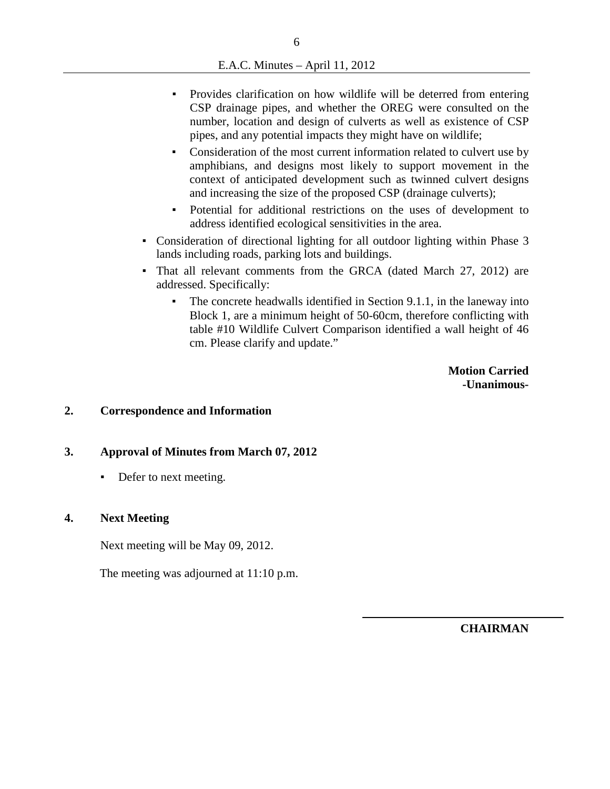- Provides clarification on how wildlife will be deterred from entering CSP drainage pipes, and whether the OREG were consulted on the number, location and design of culverts as well as existence of CSP pipes, and any potential impacts they might have on wildlife;
- Consideration of the most current information related to culvert use by amphibians, and designs most likely to support movement in the context of anticipated development such as twinned culvert designs and increasing the size of the proposed CSP (drainage culverts);
- Potential for additional restrictions on the uses of development to address identified ecological sensitivities in the area.
- Consideration of directional lighting for all outdoor lighting within Phase 3 lands including roads, parking lots and buildings.
- That all relevant comments from the GRCA (dated March 27, 2012) are addressed. Specifically:
	- The concrete headwalls identified in Section 9.1.1, in the laneway into Block 1, are a minimum height of 50-60cm, therefore conflicting with table #10 Wildlife Culvert Comparison identified a wall height of 46 cm. Please clarify and update."

**Motion Carried -Unanimous-**

## **2. Correspondence and Information**

#### **3. Approval of Minutes from March 07, 2012**

• Defer to next meeting.

#### **4. Next Meeting**

Next meeting will be May 09, 2012.

The meeting was adjourned at 11:10 p.m.

**CHAIRMAN**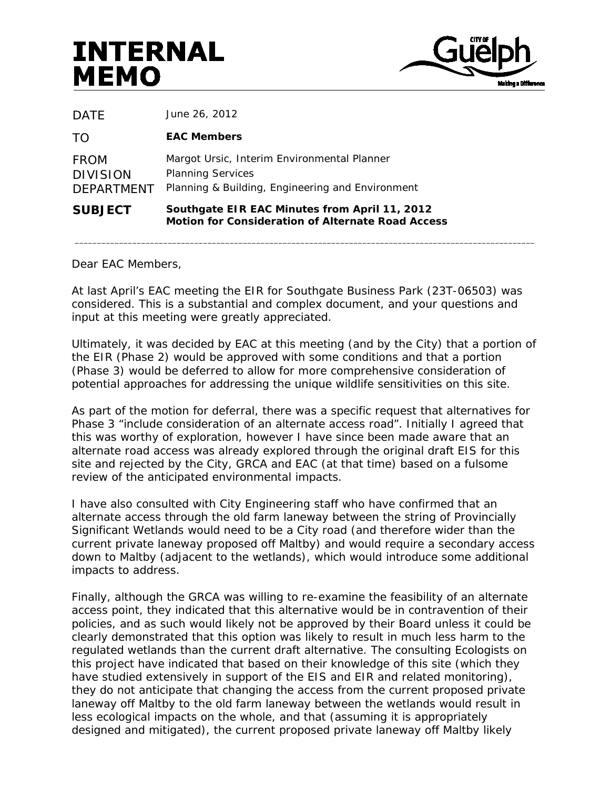# **INTERNAL MEMO**



| <b>SUBJECT</b>                                      | Southgate EIR EAC Minutes from April 11, 2012<br><b>Motion for Consideration of Alternate Road Access</b>                   |
|-----------------------------------------------------|-----------------------------------------------------------------------------------------------------------------------------|
| <b>FROM</b><br><b>DIVISION</b><br><b>DEPARTMENT</b> | Margot Ursic, Interim Environmental Planner<br><b>Planning Services</b><br>Planning & Building, Engineering and Environment |
| TO                                                  | <b>EAC Members</b>                                                                                                          |
| DATE                                                | June 26, 2012                                                                                                               |

Dear EAC Members,

At last April's EAC meeting the EIR for Southgate Business Park (23T-06503) was considered. This is a substantial and complex document, and your questions and input at this meeting were greatly appreciated.

 $\bot$  , and the contribution of the contribution of the contribution of the contribution of the contribution of the contribution of the contribution of the contribution of the contribution of the contribution of the contri

Ultimately, it was decided by EAC at this meeting (and by the City) that a portion of the EIR (Phase 2) would be approved with some conditions and that a portion (Phase 3) would be deferred to allow for more comprehensive consideration of potential approaches for addressing the unique wildlife sensitivities on this site.

As part of the motion for deferral, there was a specific request that alternatives for Phase 3 "include consideration of an alternate access road". Initially I agreed that this was worthy of exploration, however I have since been made aware that an alternate road access was already explored through the original draft EIS for this site and rejected by the City, GRCA and EAC (at that time) based on a fulsome review of the anticipated environmental impacts.

I have also consulted with City Engineering staff who have confirmed that an alternate access through the old farm laneway between the string of Provincially Significant Wetlands would need to be a City road (and therefore wider than the current private laneway proposed off Maltby) and would require a secondary access down to Maltby (adjacent to the wetlands), which would introduce some additional impacts to address.

Finally, although the GRCA was willing to re-examine the feasibility of an alternate access point, they indicated that this alternative would be in contravention of their policies, and as such would likely not be approved by their Board unless it could be clearly demonstrated that this option was likely to result in much less harm to the regulated wetlands than the current draft alternative. The consulting Ecologists on this project have indicated that based on their knowledge of this site (which they have studied extensively in support of the EIS and EIR and related monitoring), they do not anticipate that changing the access from the current proposed private laneway off Maltby to the old farm laneway between the wetlands would result in less ecological impacts on the whole, and that (assuming it is appropriately designed and mitigated), the current proposed private laneway off Maltby likely